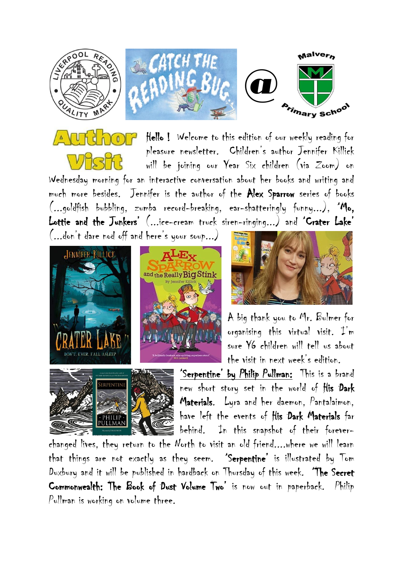







Hello ! Welcome to this edition of our weekly reading for pleasure newsletter. Children's author Jennifer Killick will be joining our Year Six children (via Zoom) on Wednesday morning for an interactive conversation about her books and writing and much more besides. Jennifer is the author of the Alex Sparrow series of books (...goldfish bubbling, zumba record-breaking, ear-shatteringly funny...), 'Mo, Lottie and the Junkers' (...ice-cream truck siren-ringing...) and 'Crater Lake'

(...don't dare nod off and here's your soup...)







A big thank you to Mr. Bulmer for organising this virtual visit. I'm sure Y6 children will tell us about the visit in next week's edition.

'Serpentine' by Philip Pullman: This is a brand new short story set in the world of His Dark Materials. Lyra and her daemon, Pantalaimon, have left the events of His Dark Materials far behind. In this snapshot of their forever-

changed lives, they return to the North to visit an old friend....where we will learn that things are not exactly as they seem. 'Serpentine' is illustrated by Tom Duxbury and it will be published in hardback on Thursday of this week. 'The Secret Commonwealth: The Book of Dust Volume Two' is now out in paperback. Philip Pullman is working on volume three.